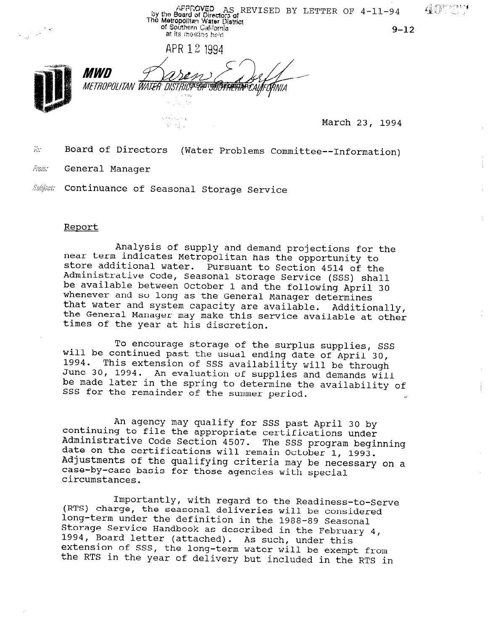AFFROVED AS REVISED BY LETTER OF  $4-11-94$ <br>The Metropolitan Water District<br>The Metropolitan Water District<br>of Southern California<br>at its mostion held<br>at its mostion held  $\frac{1}{\sqrt{1-\frac{1}{2}}}\sum_{i=1}^{\infty}\frac{1}{i} \frac{d_i}{dt}$  $9 - 12$ at its meeting held APR 12 1994 *MWD* METROPOLITAN WATER *DISTRICT*AEOPTISE/SECRETAEY  $\frac{1}{2}$ , 1994

 $\omega$  . Board of Directors (Water Problems Committee--Information)

From: General Manager

Subject: Continuance of Seasonal Storage Service

# Report

Analysis of supply and demand projections for the near term indicates Metropolitan has the opportunity to store additional water. Pursuant to Section 4514 of the Administrative Code, Seasonal Storage Service (SSS) shall be available between October 1 and the following April 30 whenever and so long as the General Manager determines that water and system capacity are available. Additionally, the General Manager may make this service available at other times of the year at his discretion.

To encourage storage of the surplus supplies, SSS will be continued past the usual ending date of April 30, 1994. This extension of SSS availability will be through June 30, 1994. An evaluation of supplies and demands will be made later in the spring to determine the availability of SSS for the remainder of the summer period.

An agency may qualify for SSS past April 30 by continuing to file the appropriate certifications under Administrative Code Section 4507. The SSS program beginning date on the certifications will remain October 1, 1993.<br>Adjustments of the qualifying criteria may be necessary on a case-by-case basis for those equational may be need zaso z<sub>i</sub> cal

Importantly, with regard to the Readings-to-S (RTS) charge, the seasonal deliveries will be considered. (nis) charge, the seasonal defiveries will be conside<br>long-term under the definition in the 1988-89 Seasonal long-term under the definition in the 1988-89 Seasonal Storage Service Handbook as described in the February  $4$ , 1994, Doald lette<br>oxtonsion of SSS As such, under this (accached). As such, under this<br>the long-term water will be exempt excension of sss, the long-term water will be exempt from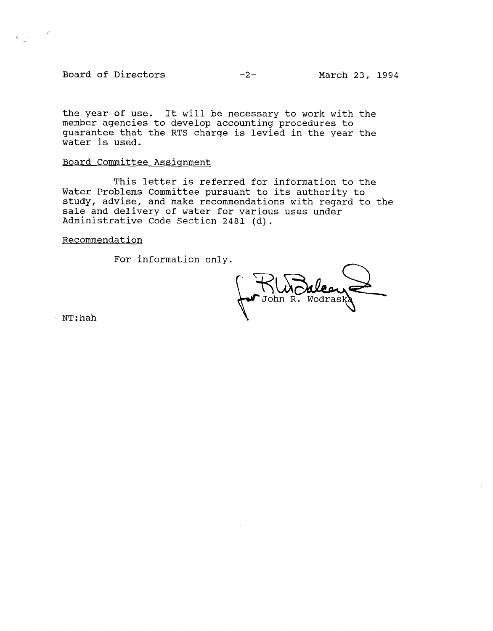Board of Directors -2- March 23, 1994

the year of use. It will be necessary to work with the member agencies to develop accounting procedures to guarantee that the RTS charge is levied in the year the water is used.

# Board Committee Assignment

This letter is referred for information to the Water Problems Committee pursuant to its authority to study, advise, and make recommendations with regard to the sale and delivery of water for various uses under Administrative Code Section 2481 (d).

Recommendation

For information only.

John R. Wodrask

NT:hah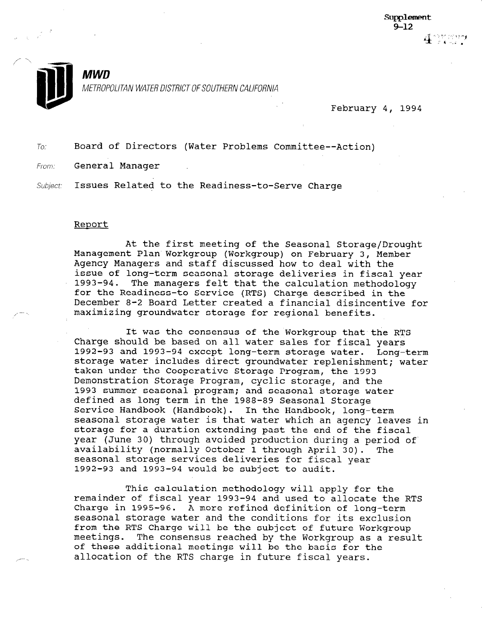

February 4, 1994

To: Board of Directors (Water Problems Committee--Action)

From: General Manager

Subject. Issues Related to the Readiness-to-Serve Charge

### Report

At the first meeting of the Seasonal Storage/Drought At the IIISt meeting of the Seasonal Storage/Drought-<br>Management Plan Workgroup (Workgroup) on February 3, Member Management Fian Wolkgroup (Workgroup) on reprudry 3, Mem Agency Managers and staff discussed how to deal with the issue of long-term seasonal storage deliveries in fiscal year<br>1993-94. The managers felt that the calculation methodology The managers felt that the calculation methodology for the Readiness-to Service (RTS) Charge described in the December 8-2 Board Letter created a financial disincentive for<br>maximizing groundwater storage for regional benefits.

It was the consensus of the Workgroup that the RTS It was the consensus of the Workgroup that the R Charge should be based on all water sales for fiscal years 1992-93 and 1993-94 except long-term storage water. Long-term storage water includes direct groundwater replenishment; water taken under the Cooperative Storage Program, the 1993 Demonstration Storage Program, cyclic storage, and the 1993 summer seasonal program; and seasonal storage water defined as long term in the 1988-89 Seasonal Storage Service Handbook (Handbook). In the Handbook, long-term seasonal storage water is that water which an agency leaves in storage for a duration extending past the end of the fiscal year (June 30) through avoided production during a period of availability (normally October 1 through April 30). The seasonal storage services deliveries for fiscal year 1992-93 and 1993-94 would be subject to audit.

This calculation methodology will apply for the remainder of fiscal year 1993-94 and used to allocate the RTS Charge in 1995-96. A more refined definition of long-term seasonal storage water and the conditions for its exclusion from the RTS Charge will be the subject of future Workgroup meetings. The consensus reached by the Workgroup as a result of these additional meetings will be the basis for the allocation of the RTS charge in future fiscal years.

This calculation method method method methodology will apply for the theory  $\mathcal{O}_\mathcal{F}$